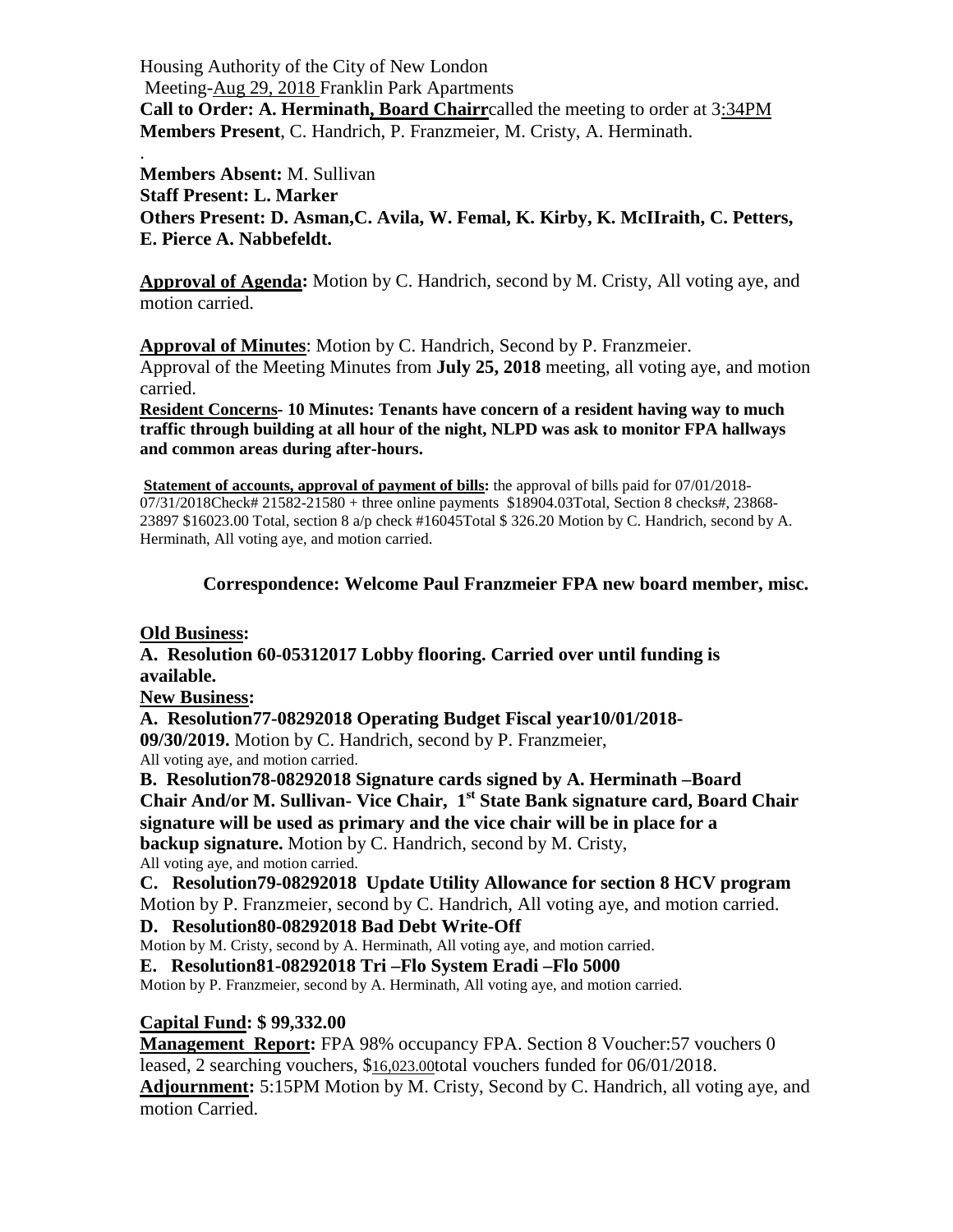Housing Authority of the City of New London Meeting-Aug 29, 2018 Franklin Park Apartments **Call to Order: A. Herminath, Board Chairr**called the meeting to order at 3:34PM **Members Present**, C. Handrich, P. Franzmeier, M. Cristy, A. Herminath.

. **Members Absent:** M. Sullivan **Staff Present: L. Marker Others Present: D. Asman,C. Avila, W. Femal, K. Kirby, K. McIIraith, C. Petters, E. Pierce A. Nabbefeldt.**

**Approval of Agenda:** Motion by C. Handrich, second by M. Cristy, All voting aye, and motion carried.

**Approval of Minutes**: Motion by C. Handrich, Second by P. Franzmeier. Approval of the Meeting Minutes from **July 25, 2018** meeting, all voting aye, and motion carried.

**Resident Concerns- 10 Minutes: Tenants have concern of a resident having way to much traffic through building at all hour of the night, NLPD was ask to monitor FPA hallways and common areas during after-hours.**

**Statement of accounts, approval of payment of bills:** the approval of bills paid for 07/01/2018-07/31/2018Check# 21582-21580 + three online payments \$18904.03Total, Section 8 checks#, 23868-23897 \$16023.00 Total, section 8 a/p check #16045Total \$ 326.20 Motion by C. Handrich, second by A. Herminath, All voting aye, and motion carried.

## **Correspondence: Welcome Paul Franzmeier FPA new board member, misc.**

## **Old Business:**

**A. Resolution 60-05312017 Lobby flooring. Carried over until funding is available.**

**New Business:**

**A. Resolution77-08292018 Operating Budget Fiscal year10/01/2018-** 

**09/30/2019.** Motion by C. Handrich, second by P. Franzmeier, All voting aye, and motion carried.

**B. Resolution78-08292018 Signature cards signed by A. Herminath –Board Chair And/or M. Sullivan- Vice Chair, 1st State Bank signature card, Board Chair signature will be used as primary and the vice chair will be in place for a backup signature.** Motion by C. Handrich, second by M. Cristy, All voting aye, and motion carried.

**C. Resolution79-08292018 Update Utility Allowance for section 8 HCV program** Motion by P. Franzmeier, second by C. Handrich, All voting aye, and motion carried.

**D. Resolution80-08292018 Bad Debt Write-Off**

Motion by M. Cristy, second by A. Herminath, All voting aye, and motion carried.

**E. Resolution81-08292018 Tri –Flo System Eradi –Flo 5000**

Motion by P. Franzmeier, second by A. Herminath, All voting aye, and motion carried.

## **Capital Fund: \$ 99,332.00**

**Management Report:** FPA 98% occupancy FPA. Section 8 Voucher:57 vouchers 0 leased, 2 searching vouchers, \$16,023.00total vouchers funded for 06/01/2018. **Adjournment:** 5:15PM Motion by M. Cristy, Second by C. Handrich, all voting aye, and motion Carried.